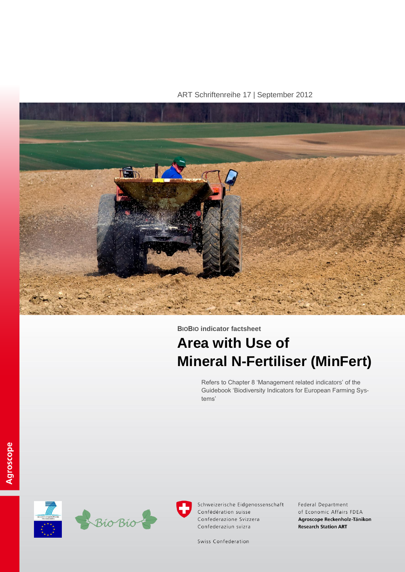ART Schriftenreihe 17 | September 2012



**BIOBIO indicator factsheet**

# **Area with Use of Mineral N-Fertiliser (MinFert)**

Refers to Chapter 8 'Management related indicators' of the Guidebook 'Biodiversity Indicators for European Farming Systems'





Schweizerische Eidgenossenschaft Confédération suisse Confederazione Svizzera Confederaziun svizra

Federal Department of Economic Affairs FDEA Agroscope Reckenholz-Tänikon **Research Station ART** 

Swiss Confederation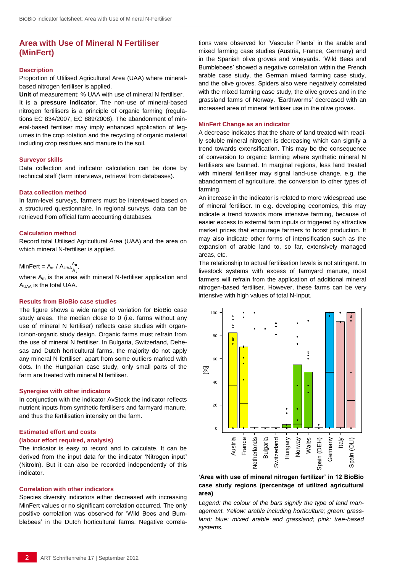## **Area with Use of Mineral N Fertiliser (MinFert)**

#### **Description**

Proportion of Utilised Agricultural Area (UAA) where mineralbased nitrogen fertiliser is applied.

**Unit** of measurement: % UAA with use of mineral N fertiliser. It is a **pressure indicator**. The non-use of mineral-based nitrogen fertilisers is a principle of organic farming (regulations EC 834/2007, EC 889/2008). The abandonment of mineral-based fertiliser may imply enhanced application of legumes in the crop rotation and the recycling of organic material including crop residues and manure to the soil.

#### **Surveyor skills**

Data collection and indicator calculation can be done by technical staff (farm interviews, retrieval from databases).

#### **Data collection method**

In farm-level surveys, farmers must be interviewed based on a structured questionnaire. In regional surveys, data can be retrieved from official farm accounting databases.

#### **Calculation method**

Record total Utilised Agricultural Area (UAA) and the area on which mineral N-fertiliser is applied.

#### MinFert =  $A_m / A_{UAA} \frac{A}{A}$  $\frac{A_n}{A_t}$

where A<sub>m</sub> is the area with mineral N-fertiliser application and AUAA is the total UAA.

#### **Results from BioBio case studies**

The figure shows a wide range of variation for BioBio case study areas. The median close to 0 (i.e. farms without any use of mineral N fertiliser) reflects case studies with organic/non-organic study design. Organic farms must refrain from the use of mineral N fertiliser. In Bulgaria, Switzerland, Dehesas and Dutch horticultural farms, the majority do not apply any mineral N fertiliser, apart from some outliers marked with dots. In the Hungarian case study, only small parts of the farm are treated with mineral N fertiliser.

#### **Synergies with other indicators**

In conjunction with the indicator AvStock the indicator reflects nutrient inputs from synthetic fertilisers and farmyard manure, and thus the fertilisation intensity on the farm.

#### **Estimated effort and costs**

#### **(labour effort required, analysis)**

The indicator is easy to record and to calculate. It can be derived from the input data for the indicator 'Nitrogen input**'**  (NitroIn). But it can also be recorded independently of this indicator.

#### **Correlation with other indicators**

Species diversity indicators either decreased with increasing MinFert values or no significant correlation occurred. The only positive correlation was observed for 'Wild Bees and Bumblebees' in the Dutch horticultural farms. Negative correlations were observed for 'Vascular Plants' in the arable and mixed farming case studies (Austria, France, Germany) and in the Spanish olive groves and vineyards. 'Wild Bees and Bumblebees' showed a negative correlation within the French arable case study, the German mixed farming case study, and the olive groves. Spiders also were negatively correlated with the mixed farming case study, the olive groves and in the grassland farms of Norway. 'Earthworms' decreased with an increased area of mineral fertiliser use in the olive groves.

#### **MinFert Change as an indicator**

A decrease indicates that the share of land treated with readily soluble mineral nitrogen is decreasing which can signify a trend towards extensification. This may be the consequence of conversion to organic farming where synthetic mineral N fertilisers are banned. In marginal regions, less land treated with mineral fertiliser may signal land-use change, e.g. the abandonment of agriculture, the conversion to other types of farming.

An increase in the indicator is related to more widespread use of mineral fertiliser. In e.g. developing economies, this may indicate a trend towards more intensive farming, because of easier excess to external farm inputs or triggered by attractive market prices that encourage farmers to boost production. It may also indicate other forms of intensification such as the expansion of arable land to, so far, extensively managed areas, etc.

The relationship to actual fertilisation levels is not stringent. In livestock systems with excess of farmyard manure, most farmers will refrain from the application of additional mineral nitrogen-based fertiliser. However, these farms can be very intensive with high values of total N-Input.



### **'Area with use of mineral nitrogen fertilizer' in 12 BioBio case study regions (percentage of utilized agricultural area)**

*Legend: the colour of the bars signify the type of land management. Yellow: arable including horticulture; green: grassland; blue: mixed arable and grassland; pink: tree-based systems.*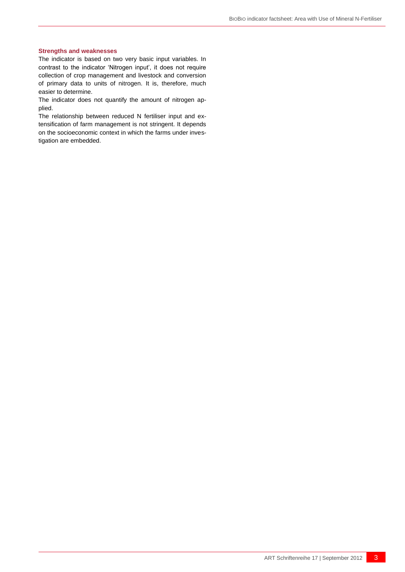#### **Strengths and weaknesses**

The indicator is based on two very basic input variables. In contrast to the indicator 'Nitrogen input', it does not require collection of crop management and livestock and conversion of primary data to units of nitrogen. It is, therefore, much easier to determine.

The indicator does not quantify the amount of nitrogen applied.

The relationship between reduced N fertiliser input and extensification of farm management is not stringent. It depends on the socioeconomic context in which the farms under investigation are embedded.